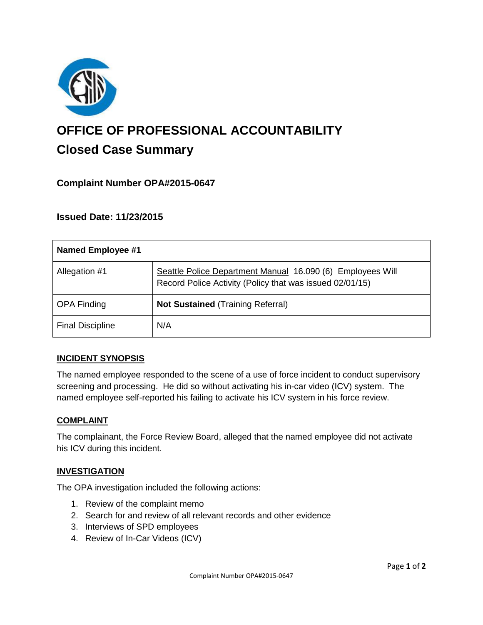

# **OFFICE OF PROFESSIONAL ACCOUNTABILITY Closed Case Summary**

## **Complaint Number OPA#2015-0647**

## **Issued Date: 11/23/2015**

| <b>Named Employee #1</b> |                                                                                                                        |
|--------------------------|------------------------------------------------------------------------------------------------------------------------|
| Allegation #1            | Seattle Police Department Manual 16.090 (6) Employees Will<br>Record Police Activity (Policy that was issued 02/01/15) |
| <b>OPA Finding</b>       | <b>Not Sustained (Training Referral)</b>                                                                               |
| <b>Final Discipline</b>  | N/A                                                                                                                    |

#### **INCIDENT SYNOPSIS**

The named employee responded to the scene of a use of force incident to conduct supervisory screening and processing. He did so without activating his in-car video (ICV) system. The named employee self-reported his failing to activate his ICV system in his force review.

#### **COMPLAINT**

The complainant, the Force Review Board, alleged that the named employee did not activate his ICV during this incident.

#### **INVESTIGATION**

The OPA investigation included the following actions:

- 1. Review of the complaint memo
- 2. Search for and review of all relevant records and other evidence
- 3. Interviews of SPD employees
- 4. Review of In-Car Videos (ICV)